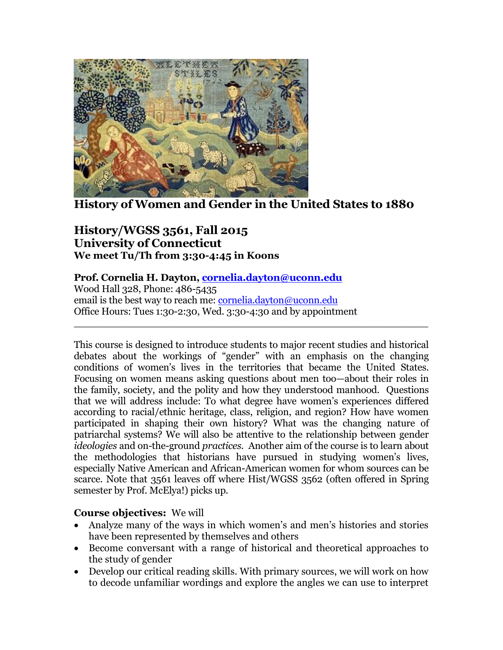

**History of Women and Gender in the United States to 1880**

# **History/WGSS 3561, Fall 2015 University of Connecticut We meet Tu/Th from 3:30-4:45 in Koons**

## **Prof. Cornelia H. Dayton, [cornelia.dayton@uconn.edu](mailto:cornelia.dayton@uconn.edu)**

Wood Hall 328, Phone: 486-5435 email is the best way to reach me: [cornelia.dayton@uconn.edu](mailto:cornelia.dayton@uconn.edu) Office Hours: Tues 1:30-2:30, Wed. 3:30-4:30 and by appointment

This course is designed to introduce students to major recent studies and historical debates about the workings of "gender" with an emphasis on the changing conditions of women's lives in the territories that became the United States. Focusing on women means asking questions about men too—about their roles in the family, society, and the polity and how they understood manhood. Questions that we will address include: To what degree have women's experiences differed according to racial/ethnic heritage, class, religion, and region? How have women participated in shaping their own history? What was the changing nature of patriarchal systems? We will also be attentive to the relationship between gender *ideologies* and on-the-ground *practices*. Another aim of the course is to learn about the methodologies that historians have pursued in studying women's lives, especially Native American and African-American women for whom sources can be scarce. Note that 3561 leaves off where Hist/WGSS 3562 (often offered in Spring semester by Prof. McElya!) picks up.

\_\_\_\_\_\_\_\_\_\_\_\_\_\_\_\_\_\_\_\_\_\_\_\_\_\_\_\_\_\_\_\_\_\_\_\_\_\_\_\_\_\_\_\_\_\_\_\_\_\_\_\_\_\_\_\_\_

## **Course objectives:** We will

- Analyze many of the ways in which women's and men's histories and stories have been represented by themselves and others
- Become conversant with a range of historical and theoretical approaches to the study of gender
- Develop our critical reading skills. With primary sources, we will work on how to decode unfamiliar wordings and explore the angles we can use to interpret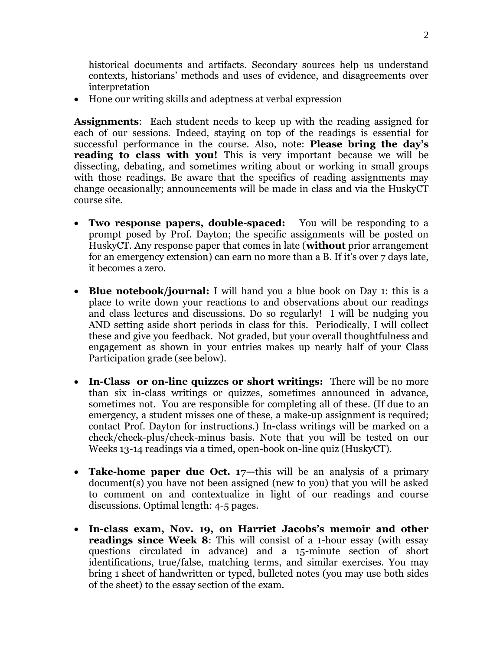historical documents and artifacts. Secondary sources help us understand contexts, historians' methods and uses of evidence, and disagreements over interpretation

Hone our writing skills and adeptness at verbal expression

**Assignments**: Each student needs to keep up with the reading assigned for each of our sessions. Indeed, staying on top of the readings is essential for successful performance in the course. Also, note: **Please bring the day's reading to class with you!** This is very important because we will be dissecting, debating, and sometimes writing about or working in small groups with those readings. Be aware that the specifics of reading assignments may change occasionally; announcements will be made in class and via the HuskyCT course site.

- **Two response papers, double-spaced:** You will be responding to a prompt posed by Prof. Dayton; the specific assignments will be posted on HuskyCT. Any response paper that comes in late (**without** prior arrangement for an emergency extension) can earn no more than a B. If it's over 7 days late, it becomes a zero.
- **Blue notebook/journal:** I will hand you a blue book on Day 1: this is a place to write down your reactions to and observations about our readings and class lectures and discussions. Do so regularly! I will be nudging you AND setting aside short periods in class for this. Periodically, I will collect these and give you feedback. Not graded, but your overall thoughtfulness and engagement as shown in your entries makes up nearly half of your Class Participation grade (see below).
- In-Class or on-line quizzes or short writings: There will be no more than six in-class writings or quizzes, sometimes announced in advance, sometimes not. You are responsible for completing all of these. (If due to an emergency, a student misses one of these, a make-up assignment is required; contact Prof. Dayton for instructions.) In**-**class writings will be marked on a check/check-plus/check-minus basis. Note that you will be tested on our Weeks 13-14 readings via a timed, open-book on-line quiz (HuskyCT).
- **Take-home paper due Oct. 17—this will be an analysis of a primary** document(s) you have not been assigned (new to you) that you will be asked to comment on and contextualize in light of our readings and course discussions. Optimal length: 4-5 pages.
- **In-class exam, Nov. 19, on Harriet Jacobs's memoir and other readings since Week 8**: This will consist of a 1-hour essay (with essay questions circulated in advance) and a 15-minute section of short identifications, true/false, matching terms, and similar exercises. You may bring 1 sheet of handwritten or typed, bulleted notes (you may use both sides of the sheet) to the essay section of the exam.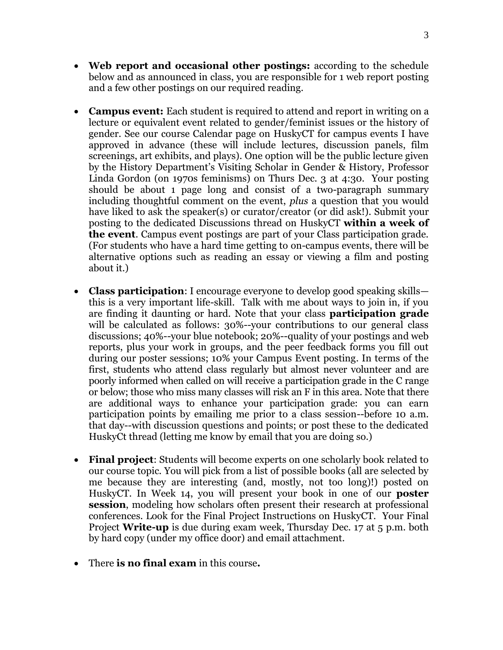- Web report and occasional other postings: according to the schedule below and as announced in class, you are responsible for 1 web report posting and a few other postings on our required reading.
- **Campus event:** Each student is required to attend and report in writing on a lecture or equivalent event related to gender/feminist issues or the history of gender. See our course Calendar page on HuskyCT for campus events I have approved in advance (these will include lectures, discussion panels, film screenings, art exhibits, and plays). One option will be the public lecture given by the History Department's Visiting Scholar in Gender & History, Professor Linda Gordon (on 1970s feminisms) on Thurs Dec. 3 at 4:30. Your posting should be about 1 page long and consist of a two-paragraph summary including thoughtful comment on the event, *plus* a question that you would have liked to ask the speaker(s) or curator/creator (or did ask!). Submit your posting to the dedicated Discussions thread on HuskyCT **within a week of the event**. Campus event postings are part of your Class participation grade. (For students who have a hard time getting to on-campus events, there will be alternative options such as reading an essay or viewing a film and posting about it.)
- **Class participation**: I encourage everyone to develop good speaking skills this is a very important life-skill. Talk with me about ways to join in, if you are finding it daunting or hard. Note that your class **participation grade** will be calculated as follows: 30%--your contributions to our general class discussions; 40%--your blue notebook; 20%--quality of your postings and web reports, plus your work in groups, and the peer feedback forms you fill out during our poster sessions; 10% your Campus Event posting. In terms of the first, students who attend class regularly but almost never volunteer and are poorly informed when called on will receive a participation grade in the C range or below; those who miss many classes will risk an F in this area. Note that there are additional ways to enhance your participation grade: you can earn participation points by emailing me prior to a class session--before 10 a.m. that day--with discussion questions and points; or post these to the dedicated HuskyCt thread (letting me know by email that you are doing so.)
- **Final project**: Students will become experts on one scholarly book related to our course topic. You will pick from a list of possible books (all are selected by me because they are interesting (and, mostly, not too long)!) posted on HuskyCT. In Week 14, you will present your book in one of our **poster session**, modeling how scholars often present their research at professional conferences. Look for the Final Project Instructions on HuskyCT. Your Final Project **Write-up** is due during exam week, Thursday Dec. 17 at 5 p.m. both by hard copy (under my office door) and email attachment.
- There **is no final exam** in this course**.**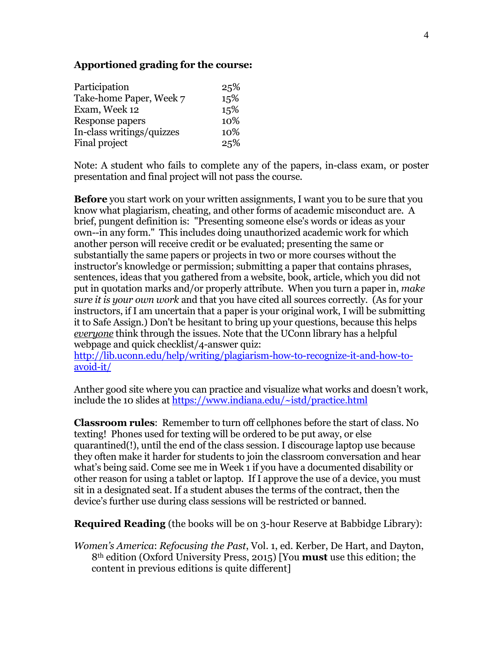#### **Apportioned grading for the course:**

| Participation             | 25% |
|---------------------------|-----|
| Take-home Paper, Week 7   | 15% |
| Exam, Week 12             | 15% |
| Response papers           | 10% |
| In-class writings/quizzes | 10% |
| Final project             | 25% |

Note: A student who fails to complete any of the papers, in-class exam, or poster presentation and final project will not pass the course.

**Before** you start work on your written assignments, I want you to be sure that you know what plagiarism, cheating, and other forms of academic misconduct are. A brief, pungent definition is: "Presenting someone else's words or ideas as your own--in any form." This includes doing unauthorized academic work for which another person will receive credit or be evaluated; presenting the same or substantially the same papers or projects in two or more courses without the instructor's knowledge or permission; submitting a paper that contains phrases, sentences, ideas that you gathered from a website, book, article, which you did not put in quotation marks and/or properly attribute. When you turn a paper in, *make sure it is your own work* and that you have cited all sources correctly. (As for your instructors, if I am uncertain that a paper is your original work, I will be submitting it to Safe Assign.) Don't be hesitant to bring up your questions, because this helps *everyone* think through the issues. Note that the UConn library has a helpful webpage and quick checklist/4-answer quiz:

[http://lib.uconn.edu/help/writing/plagiarism-how-to-recognize-it-and-how-to](http://lib.uconn.edu/help/writing/plagiarism-how-to-recognize-it-and-how-to-avoid-it/)[avoid-it/](http://lib.uconn.edu/help/writing/plagiarism-how-to-recognize-it-and-how-to-avoid-it/)

Anther good site where you can practice and visualize what works and doesn't work, include the 10 slides at<https://www.indiana.edu/~istd/practice.html>

**Classroom rules**: Remember to turn off cellphones before the start of class. No texting! Phones used for texting will be ordered to be put away, or else quarantined(!), until the end of the class session. I discourage laptop use because they often make it harder for students to join the classroom conversation and hear what's being said. Come see me in Week 1 if you have a documented disability or other reason for using a tablet or laptop. If I approve the use of a device, you must sit in a designated seat. If a student abuses the terms of the contract, then the device's further use during class sessions will be restricted or banned.

**Required Reading** (the books will be on 3-hour Reserve at Babbidge Library):

*Women's America*: *Refocusing the Past*, Vol. 1, ed. Kerber, De Hart, and Dayton, 8th edition (Oxford University Press, 2015) [You **must** use this edition; the content in previous editions is quite different]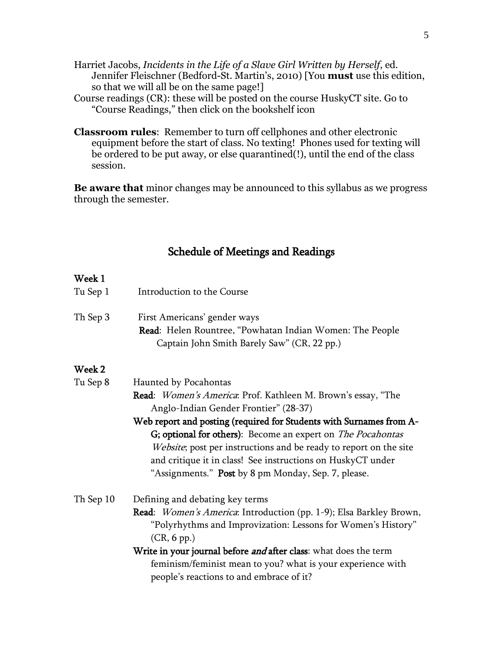- Harriet Jacobs, *Incidents in the Life of a Slave Girl Written by Herself*, ed. Jennifer Fleischner (Bedford-St. Martin's, 2010) [You **must** use this edition, so that we will all be on the same page!]
- Course readings (CR): these will be posted on the course HuskyCT site. Go to "Course Readings," then click on the bookshelf icon
- **Classroom rules**: Remember to turn off cellphones and other electronic equipment before the start of class. No texting! Phones used for texting will be ordered to be put away, or else quarantined(!), until the end of the class session.

**Be aware that** minor changes may be announced to this syllabus as we progress through the semester.

# Schedule of Meetings and Readings

#### Week 1

| Tu Sep 1  | Introduction to the Course                                                                                                                                                                                                                                                                                                           |
|-----------|--------------------------------------------------------------------------------------------------------------------------------------------------------------------------------------------------------------------------------------------------------------------------------------------------------------------------------------|
| Th Sep 3  | First Americans' gender ways<br>Read: Helen Rountree, "Powhatan Indian Women: The People<br>Captain John Smith Barely Saw" (CR, 22 pp.)                                                                                                                                                                                              |
| Week 2    |                                                                                                                                                                                                                                                                                                                                      |
| Tu Sep 8  | Haunted by Pocahontas                                                                                                                                                                                                                                                                                                                |
|           | <b>Read</b> : <i>Women's America</i> : Prof. Kathleen M. Brown's essay, "The<br>Anglo-Indian Gender Frontier" (28-37)                                                                                                                                                                                                                |
|           | Web report and posting (required for Students with Surnames from A-<br>G; optional for others): Become an expert on <i>The Pocahontas</i><br>Website; post per instructions and be ready to report on the site<br>and critique it in class! See instructions on HuskyCT under<br>"Assignments." Post by 8 pm Monday, Sep. 7, please. |
| Th Sep 10 | Defining and debating key terms                                                                                                                                                                                                                                                                                                      |
|           | <b>Read:</b> Women's America: Introduction (pp. 1-9); Elsa Barkley Brown,<br>"Polyrhythms and Improvization: Lessons for Women's History"<br>(CR, 6 pp.)                                                                                                                                                                             |
|           | Write in your journal before <i>and</i> after class: what does the term<br>feminism/feminist mean to you? what is your experience with<br>people's reactions to and embrace of it?                                                                                                                                                   |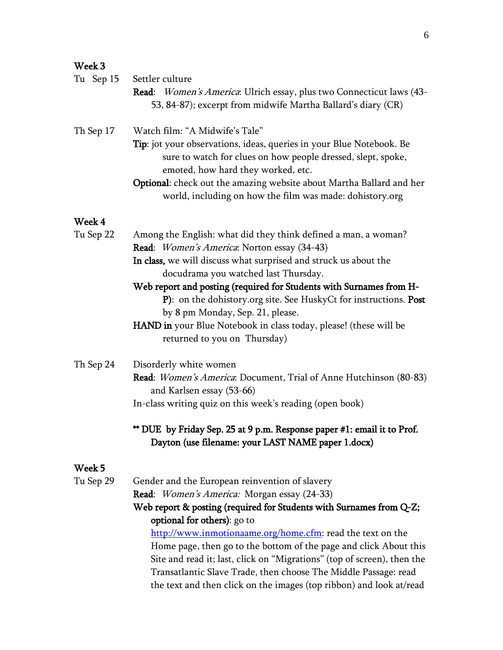## Week 3

| Tu Sep 15           | Settler culture<br><b>Read:</b> Women's America: Ulrich essay, plus two Connecticut laws (43-<br>53, 84-87); excerpt from midwife Martha Ballard's diary (CR)                                                                                                                                                                                                                                                                                                                                                  |
|---------------------|----------------------------------------------------------------------------------------------------------------------------------------------------------------------------------------------------------------------------------------------------------------------------------------------------------------------------------------------------------------------------------------------------------------------------------------------------------------------------------------------------------------|
| Th Sep 17           | Watch film: "A Midwife's Tale"<br><b>Tip</b> : jot your observations, ideas, queries in your Blue Notebook. Be<br>sure to watch for clues on how people dressed, slept, spoke,<br>emoted, how hard they worked, etc.<br>Optional: check out the amazing website about Martha Ballard and her<br>world, including on how the film was made: dohistory.org                                                                                                                                                       |
| Week 4<br>Tu Sep 22 | Among the English: what did they think defined a man, a woman?<br>Read: Women's America: Norton essay (34-43)<br>In class, we will discuss what surprised and struck us about the<br>docudrama you watched last Thursday.<br>Web report and posting (required for Students with Surnames from H-<br>P): on the dohistory.org site. See HuskyCt for instructions. Post<br>by 8 pm Monday, Sep. 21, please.<br>HAND in your Blue Notebook in class today, please! (these will be<br>returned to you on Thursday) |
| Th Sep 24           | Disorderly white women<br>Read: <i>Women's America</i> : Document, Trial of Anne Hutchinson (80-83)<br>and Karlsen essay (53-66)<br>In-class writing quiz on this week's reading (open book)<br>** DUE by Friday Sep. 25 at 9 p.m. Response paper #1: email it to Prof.<br>Dayton (use filename: your LAST NAME paper 1.docx)                                                                                                                                                                                  |
| Week 5<br>Tu Sep 29 | Gender and the European reinvention of slavery<br>Read: Women's America: Morgan essay (24-33)<br>Web report & posting (required for Students with Surnames from Q-Z;<br>optional for others): go to<br>http://www.inmotionaame.org/home.cfm: read the text on the<br>Home page, then go to the bottom of the page and click About this                                                                                                                                                                         |

Site and read it; last, click on "Migrations" (top of screen), then the Transatlantic Slave Trade, then choose The Middle Passage: read the text and then click on the images (top ribbon) and look at/read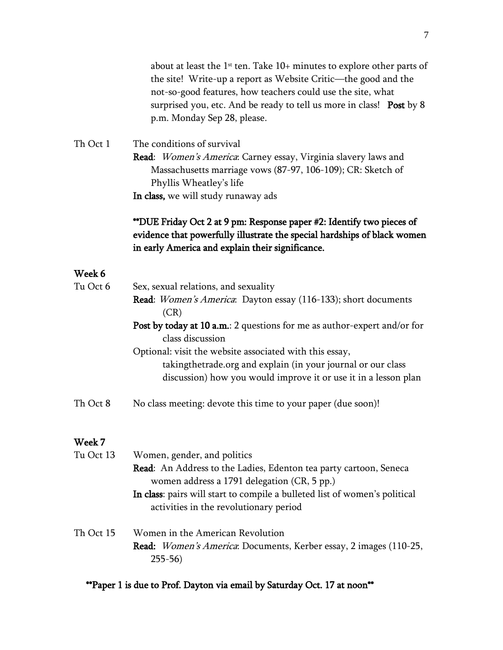about at least the  $1<sup>st</sup>$  ten. Take  $10+$  minutes to explore other parts of the site! Write-up a report as Website Critic—the good and the not-so-good features, how teachers could use the site, what surprised you, etc. And be ready to tell us more in class! Post by 8 p.m. Monday Sep 28, please.

Th Oct 1 The conditions of survival Read: Women's America: Carney essay, Virginia slavery laws and Massachusetts marriage vows (87-97, 106-109); CR: Sketch of Phyllis Wheatley's life In class, we will study runaway ads

## \*\*DUE Friday Oct 2 at 9 pm: Response paper #2: Identify two pieces of evidence that powerfully illustrate the special hardships of black women in early America and explain their significance.

## Week 6

| Tu Oct 6  | Sex, sexual relations, and sexuality                                     |
|-----------|--------------------------------------------------------------------------|
|           | Read: Women's America: Dayton essay (116-133); short documents           |
|           | (CR)                                                                     |
|           | Post by today at 10 a.m.: 2 questions for me as author-expert and/or for |
|           | class discussion                                                         |
|           | Optional: visit the website associated with this essay,                  |
|           | takingthetrade.org and explain (in your journal or our class             |
|           | discussion) how you would improve it or use it in a lesson plan          |
| Th Oct 8  | No class meeting: devote this time to your paper (due soon)!             |
| Week 7    |                                                                          |
| Tu Oct 13 | Women, gender, and politics                                              |
|           | Read: An Address to the Ladies, Edenton tea party cartoon, Seneca        |
|           | women address a 1791 delegation (CR, 5 pp.)                              |

In class: pairs will start to compile a bulleted list of women's political

Read: *Women's America*: Documents, Kerber essay, 2 images (110-25,

\*\*Paper 1 is due to Prof. Dayton via email by Saturday Oct. 17 at noon\*\*

activities in the revolutionary period

Th Oct 15 Women in the American Revolution

255-56)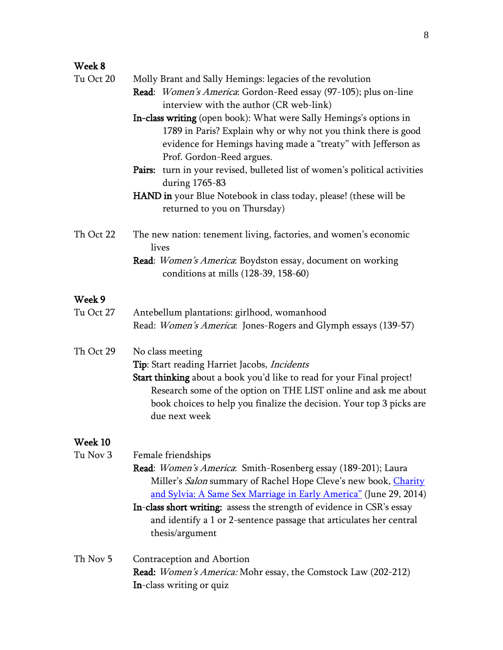# Week 8

| Tu Oct 20 | Molly Brant and Sally Hemings: legacies of the revolution<br>Read: Women's America: Gordon-Reed essay (97-105); plus on-line                                                                                                                                                                                                                                                                    |
|-----------|-------------------------------------------------------------------------------------------------------------------------------------------------------------------------------------------------------------------------------------------------------------------------------------------------------------------------------------------------------------------------------------------------|
|           | interview with the author (CR web-link)                                                                                                                                                                                                                                                                                                                                                         |
|           | In-class writing (open book): What were Sally Hemings's options in<br>1789 in Paris? Explain why or why not you think there is good<br>evidence for Hemings having made a "treaty" with Jefferson as<br>Prof. Gordon-Reed argues.                                                                                                                                                               |
|           | Pairs: turn in your revised, bulleted list of women's political activities<br>during 1765-83                                                                                                                                                                                                                                                                                                    |
|           | <b>HAND</b> in your Blue Notebook in class today, please! (these will be<br>returned to you on Thursday)                                                                                                                                                                                                                                                                                        |
| Th Oct 22 | The new nation: tenement living, factories, and women's economic<br>lives                                                                                                                                                                                                                                                                                                                       |
|           | Read: Women's America: Boydston essay, document on working<br>conditions at mills (128-39, 158-60)                                                                                                                                                                                                                                                                                              |
| Week 9    |                                                                                                                                                                                                                                                                                                                                                                                                 |
| Tu Oct 27 | Antebellum plantations: girlhood, womanhood<br>Read: Women's America: Jones-Rogers and Glymph essays (139-57)                                                                                                                                                                                                                                                                                   |
| Th Oct 29 | No class meeting<br>Tip: Start reading Harriet Jacobs, Incidents<br>Start thinking about a book you'd like to read for your Final project!<br>Research some of the option on THE LIST online and ask me about<br>book choices to help you finalize the decision. Your top 3 picks are<br>due next week                                                                                          |
| Week 10   |                                                                                                                                                                                                                                                                                                                                                                                                 |
| Tu Nov 3  | Female friendships<br>Read: Women's America: Smith-Rosenberg essay (189-201); Laura<br>Miller's Salon summary of Rachel Hope Cleve's new book, Charity<br>and Sylvia: A Same Sex Marriage in Early America" (June 29, 2014)<br>In-class short writing: assess the strength of evidence in CSR's essay<br>and identify a 1 or 2-sentence passage that articulates her central<br>thesis/argument |
| Th Nov 5  | Contraception and Abortion<br>Read: Women's America: Mohr essay, the Comstock Law (202-212)<br>In-class writing or quiz                                                                                                                                                                                                                                                                         |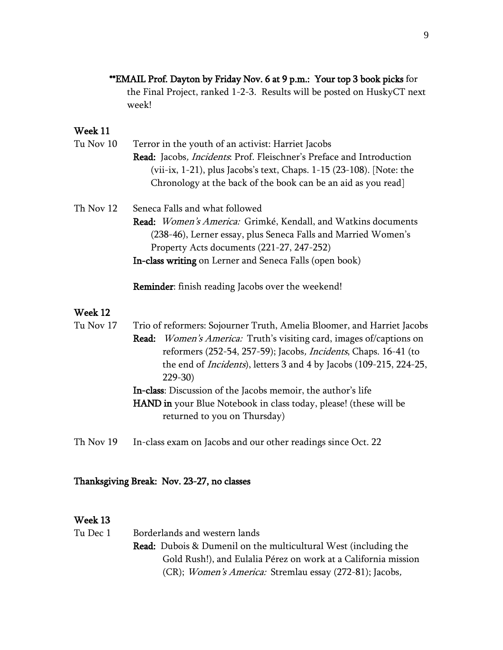## \*\*EMAIL Prof. Dayton by Friday Nov. 6 at 9 p.m.: Your top 3 book picks for

the Final Project, ranked 1-2-3. Results will be posted on HuskyCT next week!

## Week 11

| Tu Nov 10 | Terror in the youth of an activist: Harriet Jacobs                           |
|-----------|------------------------------------------------------------------------------|
|           | Read: Jacobs, <i>Incidents</i> : Prof. Fleischner's Preface and Introduction |
|           | (vii-ix, 1-21), plus Jacobs's text, Chaps. $1-15$ (23-108). [Note: the       |
|           | Chronology at the back of the book can be an aid as you read                 |
|           |                                                                              |

Th Nov 12 Seneca Falls and what followed Read: Women's America: Grimké, Kendall, and Watkins documents (238-46), Lerner essay, plus Seneca Falls and Married Women's Property Acts documents (221-27, 247-252) In-class writing on Lerner and Seneca Falls (open book)

Reminder: finish reading Jacobs over the weekend!

## Week 12

| Tu Nov 17 | Trio of reformers: Sojourner Truth, Amelia Bloomer, and Harriet Jacobs     |
|-----------|----------------------------------------------------------------------------|
|           | Read: Women's America: Truth's visiting card, images of/captions on        |
|           | reformers (252-54, 257-59); Jacobs, <i>Incidents</i> , Chaps. 16-41 (to    |
|           | the end of <i>Incidents</i> ), letters 3 and 4 by Jacobs (109-215, 224-25, |
|           | $229-30$                                                                   |
|           | In-class: Discussion of the Jacobs memoir, the author's life               |
|           | <b>HAND</b> in your Blue Notebook in class today, please! (these will be   |
|           | returned to you on Thursday)                                               |
|           |                                                                            |

Th Nov 19 In-class exam on Jacobs and our other readings since Oct. 22

## Thanksgiving Break: Nov. 23-27, no classes

## Week 13

Tu Dec 1 Borderlands and western lands Read: Dubois & Dumenil on the multicultural West (including the Gold Rush!), and Eulalia Pérez on work at a California mission (CR); Women's America: Stremlau essay (272-81); Jacobs,